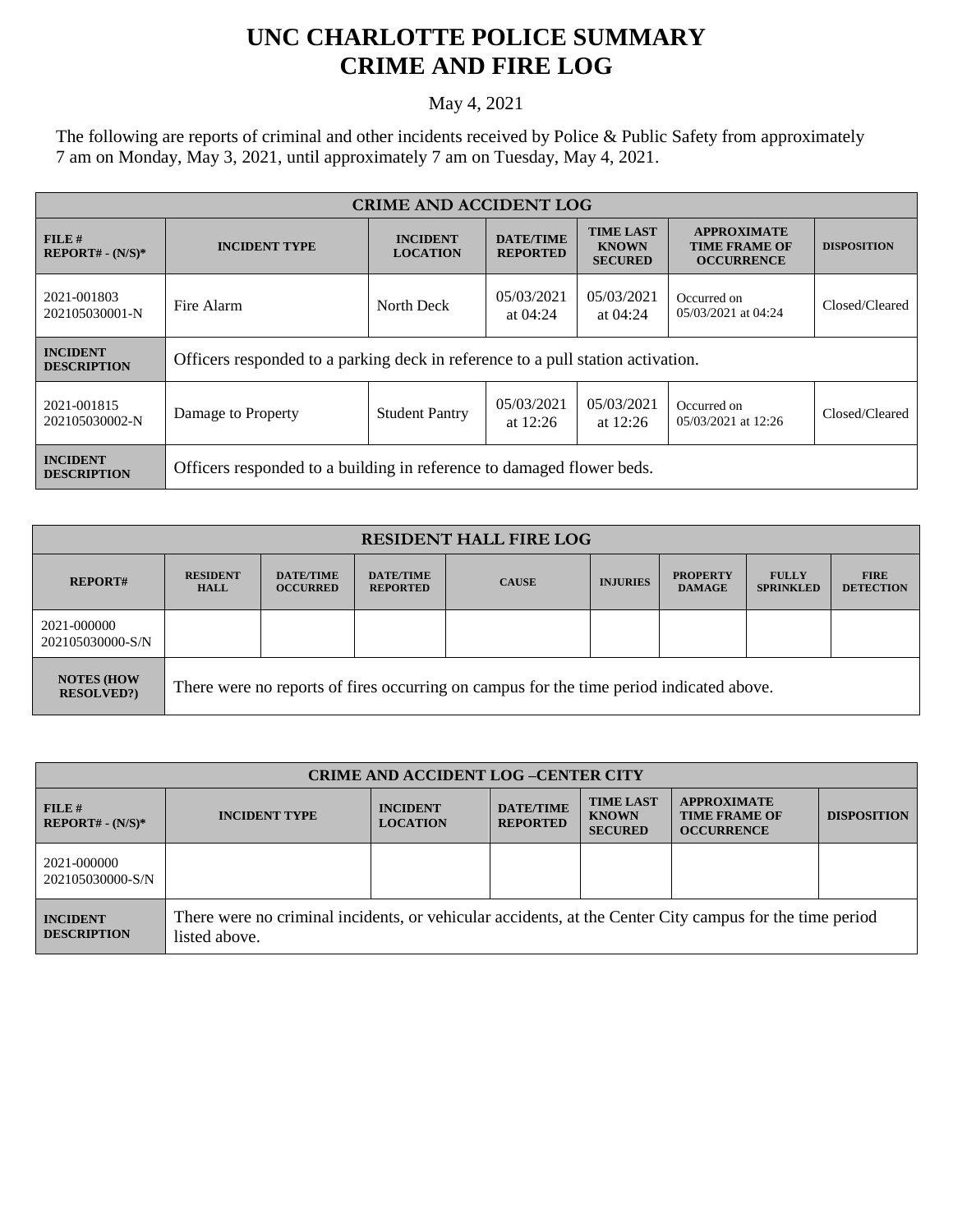## **UNC CHARLOTTE POLICE SUMMARY CRIME AND FIRE LOG**

May 4, 2021

The following are reports of criminal and other incidents received by Police & Public Safety from approximately 7 am on Monday, May 3, 2021, until approximately 7 am on Tuesday, May 4, 2021.

| <b>CRIME AND ACCIDENT LOG</b>         |                                                                                 |                                                                           |                          |                                                    |                                                                 |                    |  |
|---------------------------------------|---------------------------------------------------------------------------------|---------------------------------------------------------------------------|--------------------------|----------------------------------------------------|-----------------------------------------------------------------|--------------------|--|
| FILE H<br>$REPORT# - (N/S)*$          | <b>INCIDENT TYPE</b>                                                            | <b>DATE/TIME</b><br><b>INCIDENT</b><br><b>LOCATION</b><br><b>REPORTED</b> |                          | <b>TIME LAST</b><br><b>KNOWN</b><br><b>SECURED</b> | <b>APPROXIMATE</b><br><b>TIME FRAME OF</b><br><b>OCCURRENCE</b> | <b>DISPOSITION</b> |  |
| 2021-001803<br>202105030001-N         | Fire Alarm                                                                      | North Deck                                                                | 05/03/2021<br>at $04:24$ | 05/03/2021<br>at $04:24$                           | Occurred on<br>05/03/2021 at 04:24                              | Closed/Cleared     |  |
| <b>INCIDENT</b><br><b>DESCRIPTION</b> | Officers responded to a parking deck in reference to a pull station activation. |                                                                           |                          |                                                    |                                                                 |                    |  |
| 2021-001815<br>202105030002-N         | Damage to Property                                                              | <b>Student Pantry</b>                                                     | 05/03/2021<br>at $12:26$ | 05/03/2021<br>at $12:26$                           | Occurred on<br>05/03/2021 at 12:26                              | Closed/Cleared     |  |
| <b>INCIDENT</b><br><b>DESCRIPTION</b> | Officers responded to a building in reference to damaged flower beds.           |                                                                           |                          |                                                    |                                                                 |                    |  |

| <b>RESIDENT HALL FIRE LOG</b>         |                                                                                         |                                     |                                     |              |                 |                                  |                                  |                                 |
|---------------------------------------|-----------------------------------------------------------------------------------------|-------------------------------------|-------------------------------------|--------------|-----------------|----------------------------------|----------------------------------|---------------------------------|
| <b>REPORT#</b>                        | <b>RESIDENT</b><br><b>HALL</b>                                                          | <b>DATE/TIME</b><br><b>OCCURRED</b> | <b>DATE/TIME</b><br><b>REPORTED</b> | <b>CAUSE</b> | <b>INJURIES</b> | <b>PROPERTY</b><br><b>DAMAGE</b> | <b>FULLY</b><br><b>SPRINKLED</b> | <b>FIRE</b><br><b>DETECTION</b> |
| 2021-000000<br>202105030000-S/N       |                                                                                         |                                     |                                     |              |                 |                                  |                                  |                                 |
| <b>NOTES (HOW</b><br><b>RESOLVED?</b> | There were no reports of fires occurring on campus for the time period indicated above. |                                     |                                     |              |                 |                                  |                                  |                                 |

| <b>CRIME AND ACCIDENT LOG-CENTER CITY</b> |                                                                                                                          |                                    |                                     |                                                    |                                                                 |                    |
|-------------------------------------------|--------------------------------------------------------------------------------------------------------------------------|------------------------------------|-------------------------------------|----------------------------------------------------|-----------------------------------------------------------------|--------------------|
| FILE#<br>$REPORT# - (N/S)*$               | <b>INCIDENT TYPE</b>                                                                                                     | <b>INCIDENT</b><br><b>LOCATION</b> | <b>DATE/TIME</b><br><b>REPORTED</b> | <b>TIME LAST</b><br><b>KNOWN</b><br><b>SECURED</b> | <b>APPROXIMATE</b><br><b>TIME FRAME OF</b><br><b>OCCURRENCE</b> | <b>DISPOSITION</b> |
| 2021-000000<br>202105030000-S/N           |                                                                                                                          |                                    |                                     |                                                    |                                                                 |                    |
| <b>INCIDENT</b><br><b>DESCRIPTION</b>     | There were no criminal incidents, or vehicular accidents, at the Center City campus for the time period<br>listed above. |                                    |                                     |                                                    |                                                                 |                    |